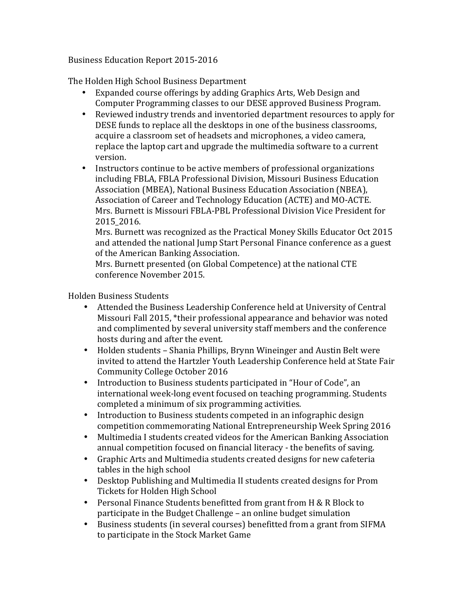Business Education Report 2015-2016

The Holden High School Business Department

- Expanded course offerings by adding Graphics Arts, Web Design and Computer Programming classes to our DESE approved Business Program.
- Reviewed industry trends and inventoried department resources to apply for DESE funds to replace all the desktops in one of the business classrooms, acquire a classroom set of headsets and microphones, a video camera, replace the laptop cart and upgrade the multimedia software to a current version.
- Instructors continue to be active members of professional organizations including FBLA, FBLA Professional Division, Missouri Business Education Association (MBEA), National Business Education Association (NBEA), Association of Career and Technology Education (ACTE) and MO-ACTE. Mrs. Burnett is Missouri FBLA-PBL Professional Division Vice President for 2015\_2016.

Mrs. Burnett was recognized as the Practical Money Skills Educator Oct 2015 and attended the national Jump Start Personal Finance conference as a guest of the American Banking Association.

Mrs. Burnett presented (on Global Competence) at the national CTE conference November 2015.

Holden Business Students

- Attended the Business Leadership Conference held at University of Central Missouri Fall 2015, \*their professional appearance and behavior was noted and complimented by several university staff members and the conference hosts during and after the event.
- Holden students Shania Phillips, Brynn Wineinger and Austin Belt were invited to attend the Hartzler Youth Leadership Conference held at State Fair Community College October 2016
- Introduction to Business students participated in "Hour of Code", an international week-long event focused on teaching programming. Students completed a minimum of six programming activities.
- Introduction to Business students competed in an infographic design competition commemorating National Entrepreneurship Week Spring 2016
- Multimedia I students created videos for the American Banking Association annual competition focused on financial literacy - the benefits of saving.
- Graphic Arts and Multimedia students created designs for new cafeteria tables in the high school
- Desktop Publishing and Multimedia II students created designs for Prom Tickets for Holden High School
- Personal Finance Students benefitted from grant from H & R Block to participate in the Budget Challenge – an online budget simulation
- Business students (in several courses) benefitted from a grant from SIFMA to participate in the Stock Market Game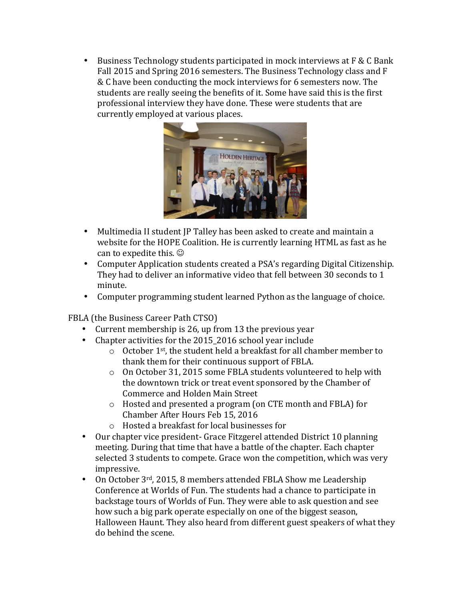• Business Technology students participated in mock interviews at F & C Bank Fall 2015 and Spring 2016 semesters. The Business Technology class and F & C have been conducting the mock interviews for 6 semesters now. The students are really seeing the benefits of it. Some have said this is the first professional interview they have done. These were students that are currently employed at various places.



- Multimedia II student JP Talley has been asked to create and maintain a website for the HOPE Coalition. He is currently learning HTML as fast as he can to expedite this.  $\odot$
- Computer Application students created a PSA's regarding Digital Citizenship. They had to deliver an informative video that fell between 30 seconds to 1 minute.
- Computer programming student learned Python as the language of choice.

FBLA (the Business Career Path CTSO)

- Current membership is 26, up from 13 the previous year
- Chapter activities for the 2015 2016 school year include
	- $\circ$  October 1<sup>st</sup>, the student held a breakfast for all chamber member to thank them for their continuous support of FBLA.
	- o On October 31, 2015 some FBLA students volunteered to help with the downtown trick or treat event sponsored by the Chamber of Commerce and Holden Main Street
	- $\circ$  Hosted and presented a program (on CTE month and FBLA) for Chamber After Hours Feb 15, 2016
	- $\circ$  Hosted a breakfast for local businesses for
- Our chapter vice president- Grace Fitzgerel attended District 10 planning meeting. During that time that have a battle of the chapter. Each chapter selected 3 students to compete. Grace won the competition, which was very impressive.
- On October  $3^{rd}$ , 2015, 8 members attended FBLA Show me Leadership Conference at Worlds of Fun. The students had a chance to participate in backstage tours of Worlds of Fun. They were able to ask question and see how such a big park operate especially on one of the biggest season, Halloween Haunt. They also heard from different guest speakers of what they do behind the scene.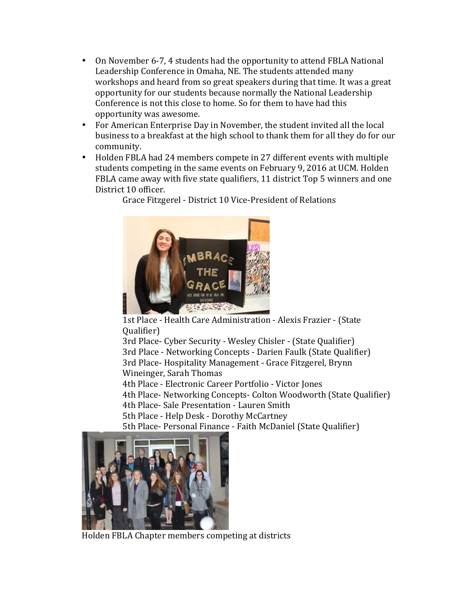- On November 6-7, 4 students had the opportunity to attend FBLA National Leadership Conference in Omaha, NE. The students attended many workshops and heard from so great speakers during that time. It was a great opportunity for our students because normally the National Leadership Conference is not this close to home. So for them to have had this opportunity was awesome.
- For American Enterprise Day in November, the student invited all the local business to a breakfast at the high school to thank them for all they do for our community.
- Holden FBLA had 24 members compete in 27 different events with multiple students competing in the same events on February 9, 2016 at UCM. Holden FBLA came away with five state qualifiers, 11 district Top 5 winners and one District 10 officer.

Grace Fitzgerel - District 10 Vice-President of Relations



1st Place - Health Care Administration - Alexis Frazier - (State Qualifier)

3rd Place- Cyber Security - Wesley Chisler - (State Qualifier) 3rd Place - Networking Concepts - Darien Faulk (State Qualifier) 3rd Place- Hospitality Management - Grace Fitzgerel, Brynn Wineinger, Sarah Thomas

4th Place - Electronic Career Portfolio - Victor Jones

4th Place- Networking Concepts- Colton Woodworth (State Qualifier)

4th Place- Sale Presentation - Lauren Smith

5th Place - Help Desk - Dorothy McCartney

5th Place- Personal Finance - Faith McDaniel (State Qualifier)



Holden FBLA Chapter members competing at districts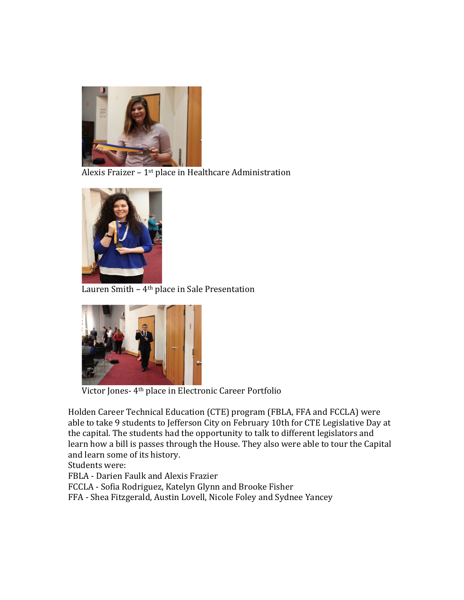

Alexis Fraizer –  $1<sup>st</sup>$  place in Healthcare Administration



Lauren Smith  $-4$ <sup>th</sup> place in Sale Presentation



Victor Jones- 4<sup>th</sup> place in Electronic Career Portfolio

Holden Career Technical Education (CTE) program (FBLA, FFA and FCCLA) were able to take 9 students to Jefferson City on February 10th for CTE Legislative Day at the capital. The students had the opportunity to talk to different legislators and learn how a bill is passes through the House. They also were able to tour the Capital and learn some of its history.

Students were:

FBLA - Darien Faulk and Alexis Frazier

FCCLA - Sofia Rodriguez, Katelyn Glynn and Brooke Fisher

FFA - Shea Fitzgerald, Austin Lovell, Nicole Foley and Sydnee Yancey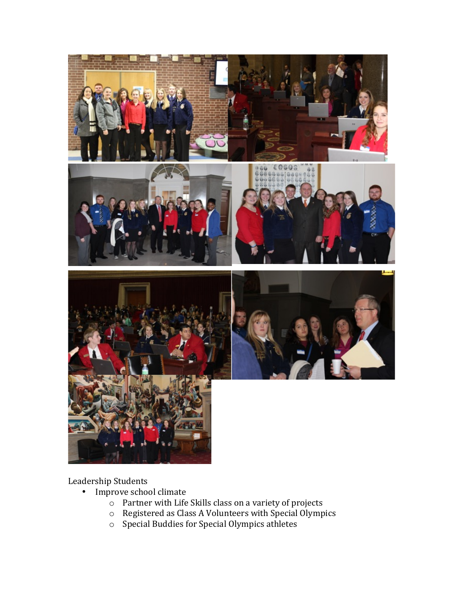

Leadership Students

- Improve school climate
	- $\circ$  Partner with Life Skills class on a variety of projects
	- $\circ$  Registered as Class A Volunteers with Special Olympics
	- $\circ$  Special Buddies for Special Olympics athletes